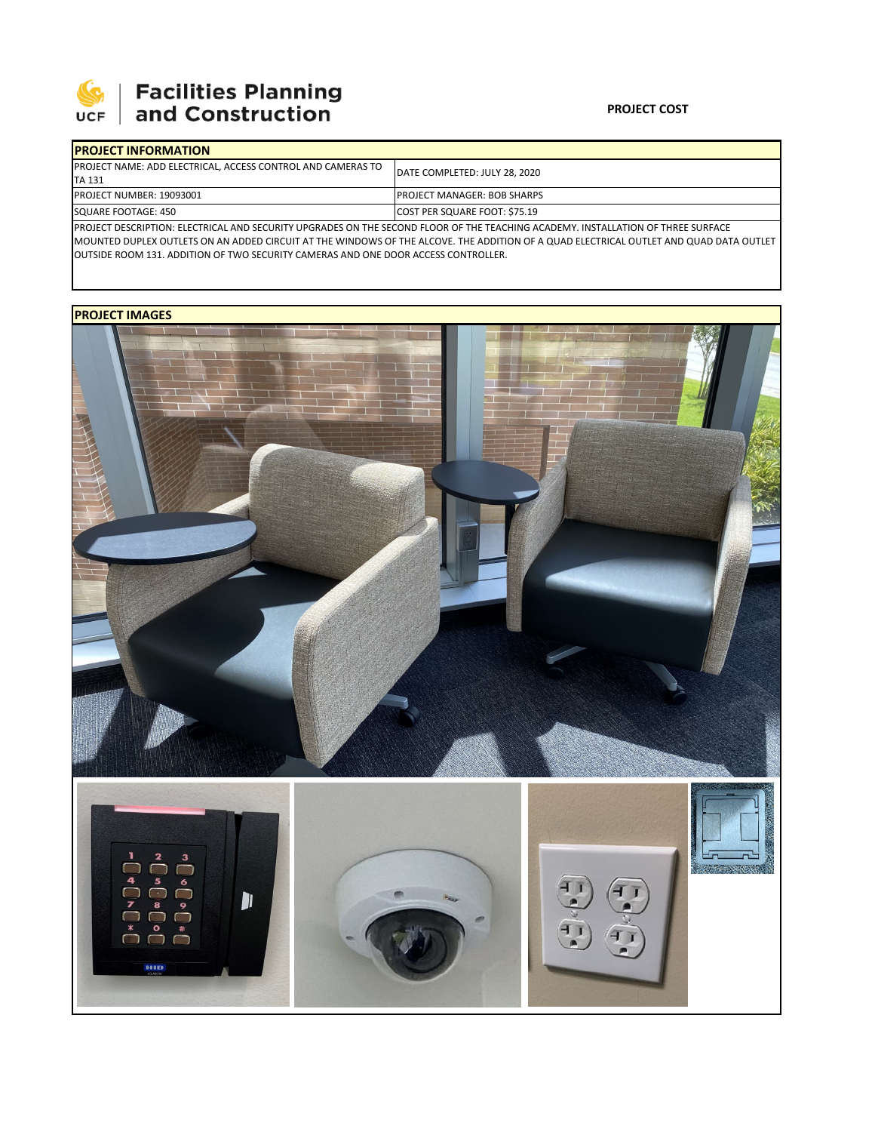

# **SEPTE AND Facilities Planning**<br>UCF and Construction

### **PROJECT COST**

| <b>IPROJECT INFORMATION</b>                                                                                                       |                                      |  |  |  |
|-----------------------------------------------------------------------------------------------------------------------------------|--------------------------------------|--|--|--|
| <b>PROJECT NAME: ADD ELECTRICAL, ACCESS CONTROL AND CAMERAS TO</b>                                                                | IDATE COMPLETED: JULY 28, 2020       |  |  |  |
| <b>ITA 131</b>                                                                                                                    |                                      |  |  |  |
| <b>PROJECT NUMBER: 19093001</b>                                                                                                   | <b>IPROJECT MANAGER: BOB SHARPS</b>  |  |  |  |
| <b>SQUARE FOOTAGE: 450</b>                                                                                                        | <b>COST PER SQUARE FOOT: \$75.19</b> |  |  |  |
| IPROJECT DESCRIPTION: ELECTRICAL AND SECURITY UPGRADES ON THE SECOND ELOOR OF THE TEACHING ACADEMY. INSTALLATION OF THREE SURFACE |                                      |  |  |  |

PROJECT DESCRIPTION: ELECTRICAL AND SECURITY UPGRADES ON THE SECOND FLOOR OF THE TEACHING ACADEMY. INSTALLATION OF THREE SURFACE MOUNTED DUPLEX OUTLETS ON AN ADDED CIRCUIT AT THE WINDOWS OF THE ALCOVE. THE ADDITION OF A QUAD ELECTRICAL OUTLET AND QUAD DATA OUTLET OUTSIDE ROOM 131. ADDITION OF TWO SECURITY CAMERAS AND ONE DOOR ACCESS CONTROLLER.

## **PROJECT IMAGES**